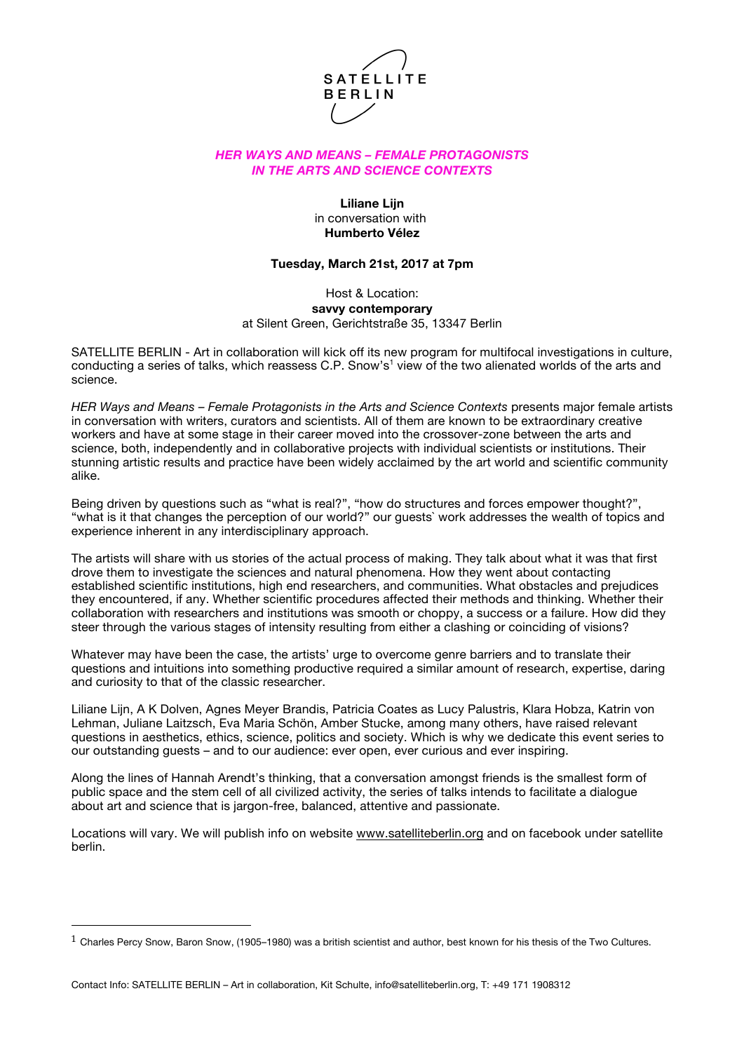

# *HER WAYS AND MEANS – FEMALE PROTAGONISTS IN THE ARTS AND SCIENCE CONTEXTS*

# **Liliane Lijn** in conversation with **Humberto Vélez**

### **Tuesday, March 21st, 2017 at 7pm**

Host & Location: **savvy contemporary** at Silent Green, Gerichtstraße 35, 13347 Berlin

SATELLITE BERLIN - Art in collaboration will kick off its new program for multifocal investigations in culture, conducting a series of talks, which reassess C.P. Snow's<sup>1</sup> view of the two alienated worlds of the arts and science.

*HER Ways and Means – Female Protagonists in the Arts and Science Contexts* presents major female artists in conversation with writers, curators and scientists. All of them are known to be extraordinary creative workers and have at some stage in their career moved into the crossover-zone between the arts and science, both, independently and in collaborative projects with individual scientists or institutions. Their stunning artistic results and practice have been widely acclaimed by the art world and scientific community alike.

Being driven by questions such as "what is real?", "how do structures and forces empower thought?", "what is it that changes the perception of our world?" our guests` work addresses the wealth of topics and experience inherent in any interdisciplinary approach.

The artists will share with us stories of the actual process of making. They talk about what it was that first drove them to investigate the sciences and natural phenomena. How they went about contacting established scientific institutions, high end researchers, and communities. What obstacles and prejudices they encountered, if any. Whether scientific procedures affected their methods and thinking. Whether their collaboration with researchers and institutions was smooth or choppy, a success or a failure. How did they steer through the various stages of intensity resulting from either a clashing or coinciding of visions?

Whatever may have been the case, the artists' urge to overcome genre barriers and to translate their questions and intuitions into something productive required a similar amount of research, expertise, daring and curiosity to that of the classic researcher.

Liliane Lijn, A K Dolven, Agnes Meyer Brandis, Patricia Coates as Lucy Palustris, Klara Hobza, Katrin von Lehman, Juliane Laitzsch, Eva Maria Schön, Amber Stucke, among many others, have raised relevant questions in aesthetics, ethics, science, politics and society. Which is why we dedicate this event series to our outstanding guests – and to our audience: ever open, ever curious and ever inspiring.

Along the lines of Hannah Arendt's thinking, that a conversation amongst friends is the smallest form of public space and the stem cell of all civilized activity, the series of talks intends to facilitate a dialogue about art and science that is jargon-free, balanced, attentive and passionate.

Locations will vary. We will publish info on website www.satelliteberlin.org and on facebook under satellite berlin.

 

 $1$  Charles Percy Snow, Baron Snow, (1905–1980) was a british scientist and author, best known for his thesis of the Two Cultures.